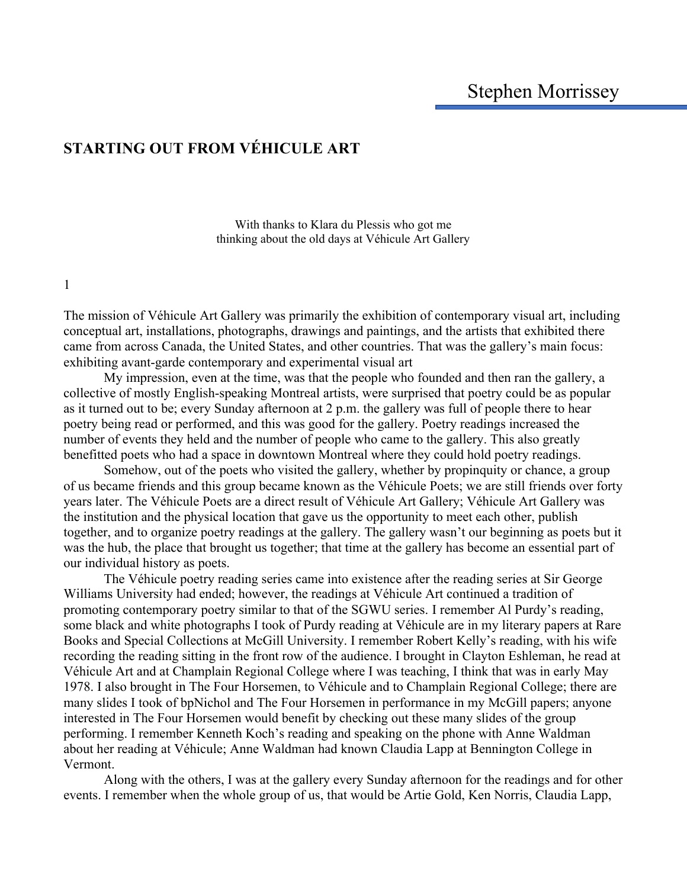# **STARTING OUT FROM VÉHICULE ART**

With thanks to Klara du Plessis who got me thinking about the old days at Véhicule Art Gallery

1

The mission of Véhicule Art Gallery was primarily the exhibition of contemporary visual art, including conceptual art, installations, photographs, drawings and paintings, and the artists that exhibited there came from across Canada, the United States, and other countries. That was the gallery's main focus: exhibiting avant-garde contemporary and experimental visual art

 My impression, even at the time, was that the people who founded and then ran the gallery, a collective of mostly English-speaking Montreal artists, were surprised that poetry could be as popular as it turned out to be; every Sunday afternoon at 2 p.m. the gallery was full of people there to hear poetry being read or performed, and this was good for the gallery. Poetry readings increased the number of events they held and the number of people who came to the gallery. This also greatly benefitted poets who had a space in downtown Montreal where they could hold poetry readings.

 Somehow, out of the poets who visited the gallery, whether by propinquity or chance, a group of us became friends and this group became known as the Véhicule Poets; we are still friends over forty years later. The Véhicule Poets are a direct result of Véhicule Art Gallery; Véhicule Art Gallery was the institution and the physical location that gave us the opportunity to meet each other, publish together, and to organize poetry readings at the gallery. The gallery wasn't our beginning as poets but it was the hub, the place that brought us together; that time at the gallery has become an essential part of our individual history as poets.

The Véhicule poetry reading series came into existence after the reading series at Sir George Williams University had ended; however, the readings at Véhicule Art continued a tradition of promoting contemporary poetry similar to that of the SGWU series. I remember Al Purdy's reading, some black and white photographs I took of Purdy reading at Véhicule are in my literary papers at Rare Books and Special Collections at McGill University. I remember Robert Kelly's reading, with his wife recording the reading sitting in the front row of the audience. I brought in Clayton Eshleman, he read at Véhicule Art and at Champlain Regional College where I was teaching, I think that was in early May 1978. I also brought in The Four Horsemen, to Véhicule and to Champlain Regional College; there are many slides I took of bpNichol and The Four Horsemen in performance in my McGill papers; anyone interested in The Four Horsemen would benefit by checking out these many slides of the group performing. I remember Kenneth Koch's reading and speaking on the phone with Anne Waldman about her reading at Véhicule; Anne Waldman had known Claudia Lapp at Bennington College in Vermont.

Along with the others, I was at the gallery every Sunday afternoon for the readings and for other events. I remember when the whole group of us, that would be Artie Gold, Ken Norris, Claudia Lapp,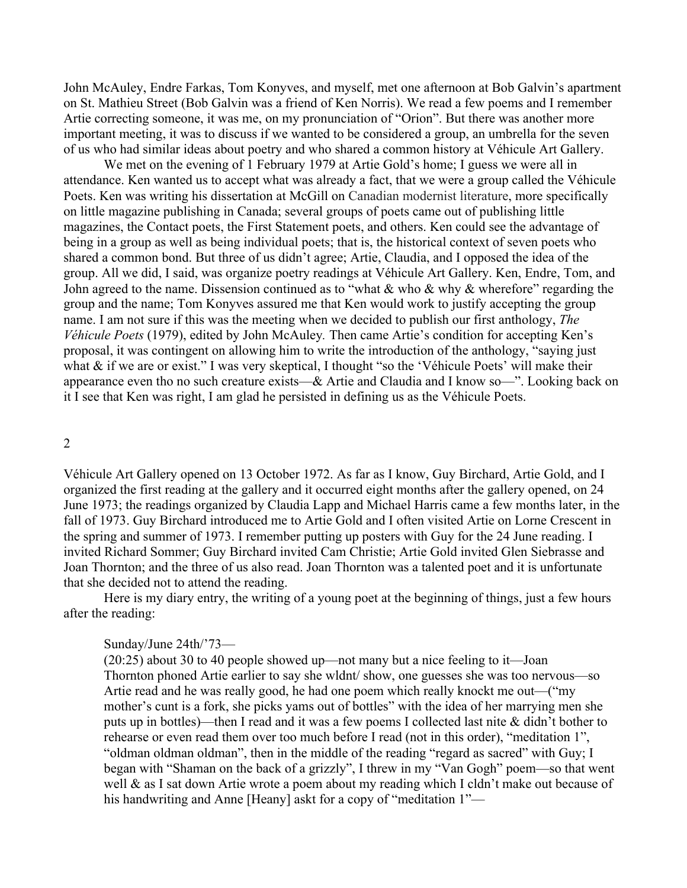John McAuley, Endre Farkas, Tom Konyves, and myself, met one afternoon at Bob Galvin's apartment on St. Mathieu Street (Bob Galvin was a friend of Ken Norris). We read a few poems and I remember Artie correcting someone, it was me, on my pronunciation of "Orion". But there was another more important meeting, it was to discuss if we wanted to be considered a group, an umbrella for the seven of us who had similar ideas about poetry and who shared a common history at Véhicule Art Gallery.

We met on the evening of 1 February 1979 at Artie Gold's home; I guess we were all in attendance. Ken wanted us to accept what was already a fact, that we were a group called the Véhicule Poets. Ken was writing his dissertation at McGill on Canadian modernist literature, more specifically on little magazine publishing in Canada; several groups of poets came out of publishing little magazines, the Contact poets, the First Statement poets, and others. Ken could see the advantage of being in a group as well as being individual poets; that is, the historical context of seven poets who shared a common bond. But three of us didn't agree; Artie, Claudia, and I opposed the idea of the group. All we did, I said, was organize poetry readings at Véhicule Art Gallery. Ken, Endre, Tom, and John agreed to the name. Dissension continued as to "what & who & why & wherefore" regarding the group and the name; Tom Konyves assured me that Ken would work to justify accepting the group name. I am not sure if this was the meeting when we decided to publish our first anthology, *The Véhicule Poets* (1979), edited by John McAuley*.* Then came Artie's condition for accepting Ken's proposal, it was contingent on allowing him to write the introduction of the anthology, "saying just what & if we are or exist." I was very skeptical, I thought "so the 'Véhicule Poets' will make their appearance even tho no such creature exists—& Artie and Claudia and I know so—". Looking back on it I see that Ken was right, I am glad he persisted in defining us as the Véhicule Poets.

#### 2

Véhicule Art Gallery opened on 13 October 1972. As far as I know, Guy Birchard, Artie Gold, and I organized the first reading at the gallery and it occurred eight months after the gallery opened, on 24 June 1973; the readings organized by Claudia Lapp and Michael Harris came a few months later, in the fall of 1973. Guy Birchard introduced me to Artie Gold and I often visited Artie on Lorne Crescent in the spring and summer of 1973. I remember putting up posters with Guy for the 24 June reading. I invited Richard Sommer; Guy Birchard invited Cam Christie; Artie Gold invited Glen Siebrasse and Joan Thornton; and the three of us also read. Joan Thornton was a talented poet and it is unfortunate that she decided not to attend the reading.

Here is my diary entry, the writing of a young poet at the beginning of things, just a few hours after the reading:

## Sunday/June 24th/'73—

(20:25) about 30 to 40 people showed up—not many but a nice feeling to it—Joan Thornton phoned Artie earlier to say she wldnt/ show, one guesses she was too nervous—so Artie read and he was really good, he had one poem which really knockt me out—("my mother's cunt is a fork, she picks yams out of bottles" with the idea of her marrying men she puts up in bottles)—then I read and it was a few poems I collected last nite & didn't bother to rehearse or even read them over too much before I read (not in this order), "meditation 1", "oldman oldman oldman", then in the middle of the reading "regard as sacred" with Guy; I began with "Shaman on the back of a grizzly", I threw in my "Van Gogh" poem—so that went well & as I sat down Artie wrote a poem about my reading which I cldn't make out because of his handwriting and Anne [Heany] askt for a copy of "meditation 1"—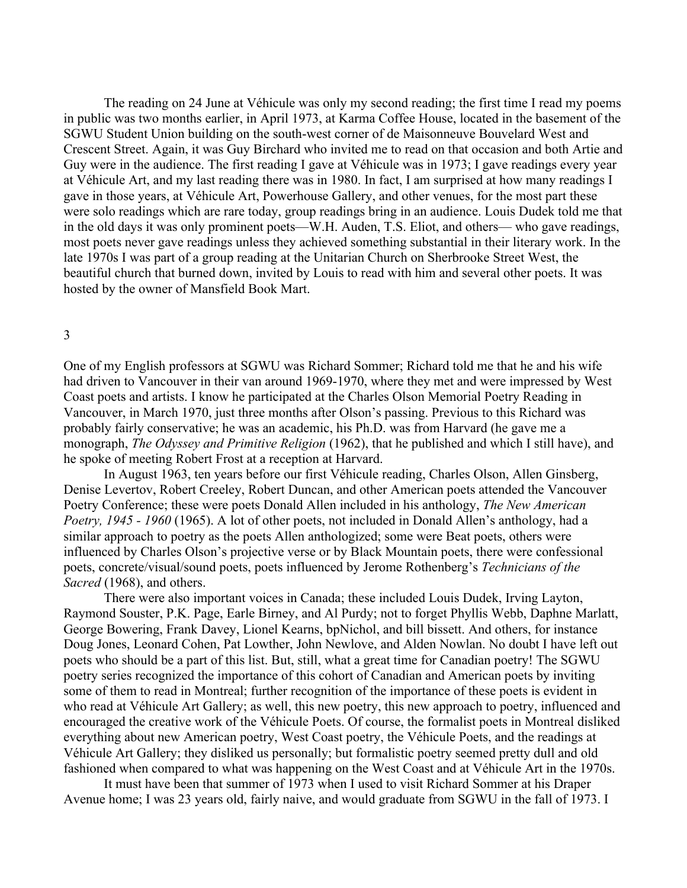The reading on 24 June at Véhicule was only my second reading; the first time I read my poems in public was two months earlier, in April 1973, at Karma Coffee House, located in the basement of the SGWU Student Union building on the south-west corner of de Maisonneuve Bouvelard West and Crescent Street. Again, it was Guy Birchard who invited me to read on that occasion and both Artie and Guy were in the audience. The first reading I gave at Véhicule was in 1973; I gave readings every year at Véhicule Art, and my last reading there was in 1980. In fact, I am surprised at how many readings I gave in those years, at Véhicule Art, Powerhouse Gallery, and other venues, for the most part these were solo readings which are rare today, group readings bring in an audience. Louis Dudek told me that in the old days it was only prominent poets—W.H. Auden, T.S. Eliot, and others— who gave readings, most poets never gave readings unless they achieved something substantial in their literary work. In the late 1970s I was part of a group reading at the Unitarian Church on Sherbrooke Street West, the beautiful church that burned down, invited by Louis to read with him and several other poets. It was hosted by the owner of Mansfield Book Mart.

## 3

One of my English professors at SGWU was Richard Sommer; Richard told me that he and his wife had driven to Vancouver in their van around 1969-1970, where they met and were impressed by West Coast poets and artists. I know he participated at the Charles Olson Memorial Poetry Reading in Vancouver, in March 1970, just three months after Olson's passing. Previous to this Richard was probably fairly conservative; he was an academic, his Ph.D. was from Harvard (he gave me a monograph, *The Odyssey and Primitive Religion* (1962), that he published and which I still have), and he spoke of meeting Robert Frost at a reception at Harvard.

In August 1963, ten years before our first Véhicule reading, Charles Olson, Allen Ginsberg, Denise Levertov, Robert Creeley, Robert Duncan, and other American poets attended the Vancouver Poetry Conference; these were poets Donald Allen included in his anthology, *The New American Poetry, 1945 - 1960* (1965). A lot of other poets, not included in Donald Allen's anthology, had a similar approach to poetry as the poets Allen anthologized; some were Beat poets, others were influenced by Charles Olson's projective verse or by Black Mountain poets, there were confessional poets, concrete/visual/sound poets, poets influenced by Jerome Rothenberg's *Technicians of the Sacred* (1968), and others.

There were also important voices in Canada; these included Louis Dudek, Irving Layton, Raymond Souster, P.K. Page, Earle Birney, and Al Purdy; not to forget Phyllis Webb, Daphne Marlatt, George Bowering, Frank Davey, Lionel Kearns, bpNichol, and bill bissett. And others, for instance Doug Jones, Leonard Cohen, Pat Lowther, John Newlove, and Alden Nowlan. No doubt I have left out poets who should be a part of this list. But, still, what a great time for Canadian poetry! The SGWU poetry series recognized the importance of this cohort of Canadian and American poets by inviting some of them to read in Montreal; further recognition of the importance of these poets is evident in who read at Véhicule Art Gallery; as well, this new poetry, this new approach to poetry, influenced and encouraged the creative work of the Véhicule Poets. Of course, the formalist poets in Montreal disliked everything about new American poetry, West Coast poetry, the Véhicule Poets, and the readings at Véhicule Art Gallery; they disliked us personally; but formalistic poetry seemed pretty dull and old fashioned when compared to what was happening on the West Coast and at Véhicule Art in the 1970s.

 It must have been that summer of 1973 when I used to visit Richard Sommer at his Draper Avenue home; I was 23 years old, fairly naive, and would graduate from SGWU in the fall of 1973. I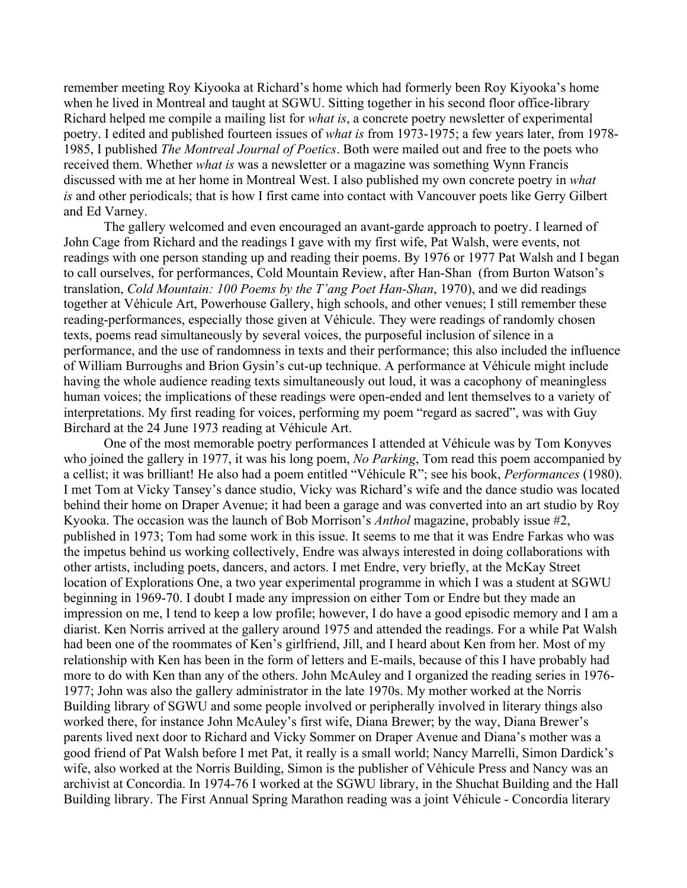remember meeting Roy Kiyooka at Richard's home which had formerly been Roy Kiyooka's home when he lived in Montreal and taught at SGWU. Sitting together in his second floor office-library Richard helped me compile a mailing list for *what is*, a concrete poetry newsletter of experimental poetry. I edited and published fourteen issues of *what is* from 1973-1975; a few years later, from 1978- 1985, I published *The Montreal Journal of Poetics*. Both were mailed out and free to the poets who received them. Whether *what is* was a newsletter or a magazine was something Wynn Francis discussed with me at her home in Montreal West. I also published my own concrete poetry in *what is* and other periodicals; that is how I first came into contact with Vancouver poets like Gerry Gilbert and Ed Varney.

The gallery welcomed and even encouraged an avant-garde approach to poetry. I learned of John Cage from Richard and the readings I gave with my first wife, Pat Walsh, were events, not readings with one person standing up and reading their poems. By 1976 or 1977 Pat Walsh and I began to call ourselves, for performances, Cold Mountain Review, after Han-Shan (from Burton Watson's translation, *Cold Mountain: 100 Poems by the T'ang Poet Han-Shan*, 1970), and we did readings together at Véhicule Art, Powerhouse Gallery, high schools, and other venues; I still remember these reading-performances, especially those given at Véhicule. They were readings of randomly chosen texts, poems read simultaneously by several voices, the purposeful inclusion of silence in a performance, and the use of randomness in texts and their performance; this also included the influence of William Burroughs and Brion Gysin's cut-up technique. A performance at Véhicule might include having the whole audience reading texts simultaneously out loud, it was a cacophony of meaningless human voices; the implications of these readings were open-ended and lent themselves to a variety of interpretations. My first reading for voices, performing my poem "regard as sacred", was with Guy Birchard at the 24 June 1973 reading at Véhicule Art.

 One of the most memorable poetry performances I attended at Véhicule was by Tom Konyves who joined the gallery in 1977, it was his long poem, *No Parking*, Tom read this poem accompanied by a cellist; it was brilliant! He also had a poem entitled "Véhicule R"; see his book, *Performances* (1980). I met Tom at Vicky Tansey's dance studio, Vicky was Richard's wife and the dance studio was located behind their home on Draper Avenue; it had been a garage and was converted into an art studio by Roy Kyooka. The occasion was the launch of Bob Morrison's *Anthol* magazine, probably issue #2, published in 1973; Tom had some work in this issue. It seems to me that it was Endre Farkas who was the impetus behind us working collectively, Endre was always interested in doing collaborations with other artists, including poets, dancers, and actors. I met Endre, very briefly, at the McKay Street location of Explorations One, a two year experimental programme in which I was a student at SGWU beginning in 1969-70. I doubt I made any impression on either Tom or Endre but they made an impression on me, I tend to keep a low profile; however, I do have a good episodic memory and I am a diarist. Ken Norris arrived at the gallery around 1975 and attended the readings. For a while Pat Walsh had been one of the roommates of Ken's girlfriend, Jill, and I heard about Ken from her. Most of my relationship with Ken has been in the form of letters and E-mails, because of this I have probably had more to do with Ken than any of the others. John McAuley and I organized the reading series in 1976- 1977; John was also the gallery administrator in the late 1970s. My mother worked at the Norris Building library of SGWU and some people involved or peripherally involved in literary things also worked there, for instance John McAuley's first wife, Diana Brewer; by the way, Diana Brewer's parents lived next door to Richard and Vicky Sommer on Draper Avenue and Diana's mother was a good friend of Pat Walsh before I met Pat, it really is a small world; Nancy Marrelli, Simon Dardick's wife, also worked at the Norris Building, Simon is the publisher of Véhicule Press and Nancy was an archivist at Concordia. In 1974-76 I worked at the SGWU library, in the Shuchat Building and the Hall Building library. The First Annual Spring Marathon reading was a joint Véhicule - Concordia literary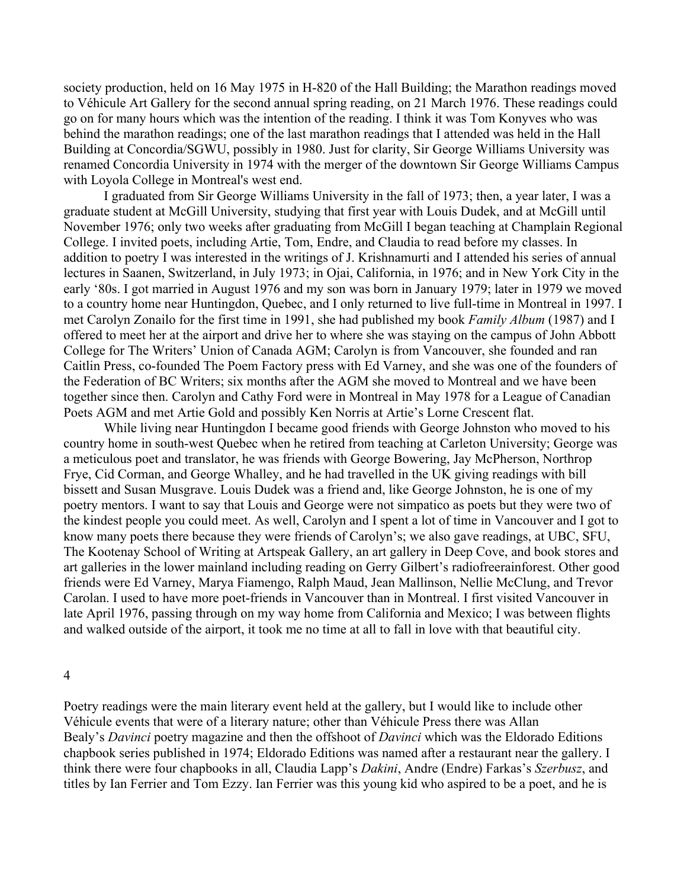society production, held on 16 May 1975 in H-820 of the Hall Building; the Marathon readings moved to Véhicule Art Gallery for the second annual spring reading, on 21 March 1976. These readings could go on for many hours which was the intention of the reading. I think it was Tom Konyves who was behind the marathon readings; one of the last marathon readings that I attended was held in the Hall Building at Concordia/SGWU, possibly in 1980. Just for clarity, Sir George Williams University was renamed Concordia University in 1974 with the merger of the downtown Sir George Williams Campus with Loyola College in Montreal's west end.

 I graduated from Sir George Williams University in the fall of 1973; then, a year later, I was a graduate student at McGill University, studying that first year with Louis Dudek, and at McGill until November 1976; only two weeks after graduating from McGill I began teaching at Champlain Regional College. I invited poets, including Artie, Tom, Endre, and Claudia to read before my classes. In addition to poetry I was interested in the writings of J. Krishnamurti and I attended his series of annual lectures in Saanen, Switzerland, in July 1973; in Ojai, California, in 1976; and in New York City in the early '80s. I got married in August 1976 and my son was born in January 1979; later in 1979 we moved to a country home near Huntingdon, Quebec, and I only returned to live full-time in Montreal in 1997. I met Carolyn Zonailo for the first time in 1991, she had published my book *Family Album* (1987) and I offered to meet her at the airport and drive her to where she was staying on the campus of John Abbott College for The Writers' Union of Canada AGM; Carolyn is from Vancouver, she founded and ran Caitlin Press, co-founded The Poem Factory press with Ed Varney, and she was one of the founders of the Federation of BC Writers; six months after the AGM she moved to Montreal and we have been together since then. Carolyn and Cathy Ford were in Montreal in May 1978 for a League of Canadian Poets AGM and met Artie Gold and possibly Ken Norris at Artie's Lorne Crescent flat.

While living near Huntingdon I became good friends with George Johnston who moved to his country home in south-west Quebec when he retired from teaching at Carleton University; George was a meticulous poet and translator, he was friends with George Bowering, Jay McPherson, Northrop Frye, Cid Corman, and George Whalley, and he had travelled in the UK giving readings with bill bissett and Susan Musgrave. Louis Dudek was a friend and, like George Johnston, he is one of my poetry mentors. I want to say that Louis and George were not simpatico as poets but they were two of the kindest people you could meet. As well, Carolyn and I spent a lot of time in Vancouver and I got to know many poets there because they were friends of Carolyn's; we also gave readings, at UBC, SFU, The Kootenay School of Writing at Artspeak Gallery, an art gallery in Deep Cove, and book stores and art galleries in the lower mainland including reading on Gerry Gilbert's radiofreerainforest. Other good friends were Ed Varney, Marya Fiamengo, Ralph Maud, Jean Mallinson, Nellie McClung, and Trevor Carolan. I used to have more poet-friends in Vancouver than in Montreal. I first visited Vancouver in late April 1976, passing through on my way home from California and Mexico; I was between flights and walked outside of the airport, it took me no time at all to fall in love with that beautiful city.

#### 4

Poetry readings were the main literary event held at the gallery, but I would like to include other Véhicule events that were of a literary nature; other than Véhicule Press there was Allan Bealy's *Davinci* poetry magazine and then the offshoot of *Davinci* which was the Eldorado Editions chapbook series published in 1974; Eldorado Editions was named after a restaurant near the gallery. I think there were four chapbooks in all, Claudia Lapp's *Dakini*, Andre (Endre) Farkas's *Szerbusz*, and titles by Ian Ferrier and Tom Ezzy. Ian Ferrier was this young kid who aspired to be a poet, and he is